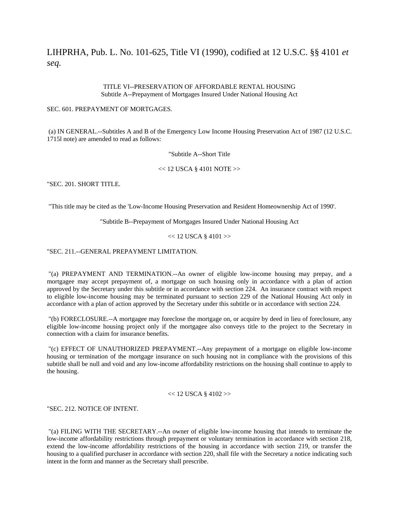LIHPRHA, Pub. L. No. 101-625, Title VI (1990), codified at 12 U.S.C. §§ 4101 *et seq.*

## TITLE VI--PRESERVATION OF AFFORDABLE RENTAL HOUSING Subtitle A--Prepayment of Mortgages Insured Under National Housing Act

## SEC. 601. PREPAYMENT OF MORTGAGES.

 (a) IN GENERAL.--Subtitles A and B of the Emergency Low Income Housing Preservation Act of 1987 (12 U.S.C. 1715l note) are amended to read as follows:

# "Subtitle A--Short Title

## $<< 12$  USCA § 4101 NOTE  $>>$

"SEC. 201. SHORT TITLE.

"This title may be cited as the 'Low-Income Housing Preservation and Resident Homeownership Act of 1990'.

"Subtitle B--Prepayment of Mortgages Insured Under National Housing Act

 $<< 12$  USCA § 4101 $>>$ 

"SEC. 211.--GENERAL PREPAYMENT LIMITATION.

 "(a) PREPAYMENT AND TERMINATION.--An owner of eligible low-income housing may prepay, and a mortgagee may accept prepayment of, a mortgage on such housing only in accordance with a plan of action approved by the Secretary under this subtitle or in accordance with section 224. An insurance contract with respect to eligible low-income housing may be terminated pursuant to section 229 of the National Housing Act only in accordance with a plan of action approved by the Secretary under this subtitle or in accordance with section 224.

 "(b) FORECLOSURE.--A mortgagee may foreclose the mortgage on, or acquire by deed in lieu of foreclosure, any eligible low-income housing project only if the mortgagee also conveys title to the project to the Secretary in connection with a claim for insurance benefits.

 "(c) EFFECT OF UNAUTHORIZED PREPAYMENT.--Any prepayment of a mortgage on eligible low-income housing or termination of the mortgage insurance on such housing not in compliance with the provisions of this subtitle shall be null and void and any low-income affordability restrictions on the housing shall continue to apply to the housing.

#### $<< 12$  USCA § 4102 $>>$

"SEC. 212. NOTICE OF INTENT.

 "(a) FILING WITH THE SECRETARY.--An owner of eligible low-income housing that intends to terminate the low-income affordability restrictions through prepayment or voluntary termination in accordance with section 218, extend the low-income affordability restrictions of the housing in accordance with section 219, or transfer the housing to a qualified purchaser in accordance with section 220, shall file with the Secretary a notice indicating such intent in the form and manner as the Secretary shall prescribe.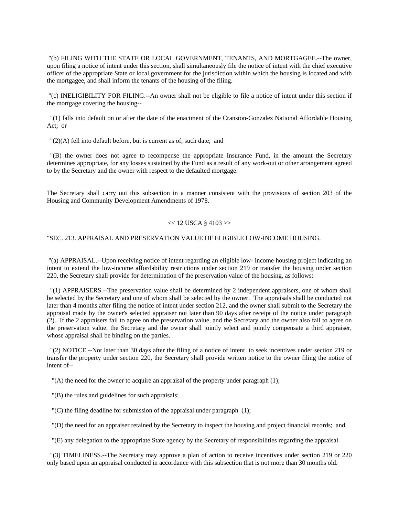"(b) FILING WITH THE STATE OR LOCAL GOVERNMENT, TENANTS, AND MORTGAGEE.--The owner, upon filing a notice of intent under this section, shall simultaneously file the notice of intent with the chief executive officer of the appropriate State or local government for the jurisdiction within which the housing is located and with the mortgagee, and shall inform the tenants of the housing of the filing.

 "(c) INELIGIBILITY FOR FILING.--An owner shall not be eligible to file a notice of intent under this section if the mortgage covering the housing--

 "(1) falls into default on or after the date of the enactment of the Cranston-Gonzalez National Affordable Housing Act; or

"(2)(A) fell into default before, but is current as of, such date; and

 "(B) the owner does not agree to recompense the appropriate Insurance Fund, in the amount the Secretary determines appropriate, for any losses sustained by the Fund as a result of any work-out or other arrangement agreed to by the Secretary and the owner with respect to the defaulted mortgage.

The Secretary shall carry out this subsection in a manner consistent with the provisions of section 203 of the Housing and Community Development Amendments of 1978.

### $<< 12$  USCA § 4103 $>>$

## "SEC. 213. APPRAISAL AND PRESERVATION VALUE OF ELIGIBLE LOW-INCOME HOUSING.

 "(a) APPRAISAL.--Upon receiving notice of intent regarding an eligible low- income housing project indicating an intent to extend the low-income affordability restrictions under section 219 or transfer the housing under section 220, the Secretary shall provide for determination of the preservation value of the housing, as follows:

 "(1) APPRAISERS.--The preservation value shall be determined by 2 independent appraisers, one of whom shall be selected by the Secretary and one of whom shall be selected by the owner. The appraisals shall be conducted not later than 4 months after filing the notice of intent under section 212, and the owner shall submit to the Secretary the appraisal made by the owner's selected appraiser not later than 90 days after receipt of the notice under paragraph (2). If the 2 appraisers fail to agree on the preservation value, and the Secretary and the owner also fail to agree on the preservation value, the Secretary and the owner shall jointly select and jointly compensate a third appraiser, whose appraisal shall be binding on the parties.

 "(2) NOTICE.--Not later than 30 days after the filing of a notice of intent to seek incentives under section 219 or transfer the property under section 220, the Secretary shall provide written notice to the owner filing the notice of intent of--

"(A) the need for the owner to acquire an appraisal of the property under paragraph (1);

"(B) the rules and guidelines for such appraisals;

"(C) the filing deadline for submission of the appraisal under paragraph (1);

"(D) the need for an appraiser retained by the Secretary to inspect the housing and project financial records; and

"(E) any delegation to the appropriate State agency by the Secretary of responsibilities regarding the appraisal.

 "(3) TIMELINESS.--The Secretary may approve a plan of action to receive incentives under section 219 or 220 only based upon an appraisal conducted in accordance with this subsection that is not more than 30 months old.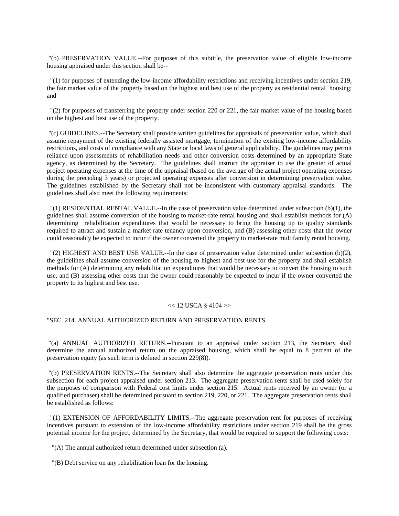"(b) PRESERVATION VALUE.--For purposes of this subtitle, the preservation value of eligible low-income housing appraised under this section shall be--

 "(1) for purposes of extending the low-income affordability restrictions and receiving incentives under section 219, the fair market value of the property based on the highest and best use of the property as residential rental housing; and

 "(2) for purposes of transferring the property under section 220 or 221, the fair market value of the housing based on the highest and best use of the property.

 "(c) GUIDELINES.--The Secretary shall provide written guidelines for appraisals of preservation value, which shall assume repayment of the existing federally assisted mortgage, termination of the existing low-income affordability restrictions, and costs of compliance with any State or local laws of general applicability. The guidelines may permit reliance upon assessments of rehabilitation needs and other conversion costs determined by an appropriate State agency, as determined by the Secretary. The guidelines shall instruct the appraiser to use the greater of actual project operating expenses at the time of the appraisal (based on the average of the actual project operating expenses during the preceding 3 years) or projected operating expenses after conversion in determining preservation value. The guidelines established by the Secretary shall not be inconsistent with customary appraisal standards. The guidelines shall also meet the following requirements:

 "(1) RESIDENTIAL RENTAL VALUE.--In the case of preservation value determined under subsection (b)(1), the guidelines shall assume conversion of the housing to market-rate rental housing and shall establish methods for (A) determining rehabilitation expenditures that would be necessary to bring the housing up to quality standards required to attract and sustain a market rate tenancy upon conversion, and (B) assessing other costs that the owner could reasonably be expected to incur if the owner converted the property to market-rate multifamily rental housing.

 "(2) HIGHEST AND BEST USE VALUE.--In the case of preservation value determined under subsection (b)(2), the guidelines shall assume conversion of the housing to highest and best use for the property and shall establish methods for (A) determining any rehabilitation expenditures that would be necessary to convert the housing to such use, and (B) assessing other costs that the owner could reasonably be expected to incur if the owner converted the property to its highest and best use.

#### $<< 12$  USCA § 4104 $>>$

## "SEC. 214. ANNUAL AUTHORIZED RETURN AND PRESERVATION RENTS.

 "(a) ANNUAL AUTHORIZED RETURN.--Pursuant to an appraisal under section 213, the Secretary shall determine the annual authorized return on the appraised housing, which shall be equal to 8 percent of the preservation equity (as such term is defined in section 229(8)).

 "(b) PRESERVATION RENTS.--The Secretary shall also determine the aggregate preservation rents under this subsection for each project appraised under section 213. The aggregate preservation rents shall be used solely for the purposes of comparison with Federal cost limits under section 215. Actual rents received by an owner (or a qualified purchaser) shall be determined pursuant to section 219, 220, or 221. The aggregate preservation rents shall be established as follows:

 "(1) EXTENSION OF AFFORDABILITY LIMITS.--The aggregate preservation rent for purposes of receiving incentives pursuant to extension of the low-income affordability restrictions under section 219 shall be the gross potential income for the project, determined by the Secretary, that would be required to support the following costs:

"(A) The annual authorized return determined under subsection (a).

"(B) Debt service on any rehabilitation loan for the housing.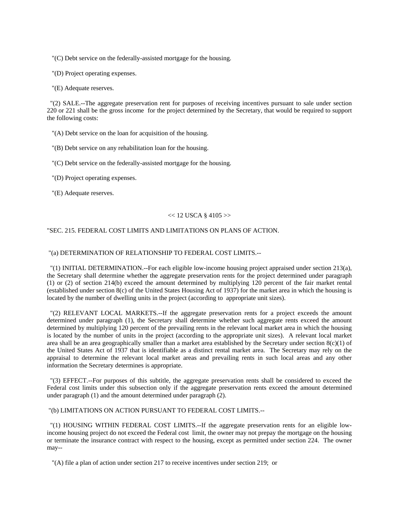"(C) Debt service on the federally-assisted mortgage for the housing.

"(D) Project operating expenses.

"(E) Adequate reserves.

 "(2) SALE.--The aggregate preservation rent for purposes of receiving incentives pursuant to sale under section 220 or 221 shall be the gross income for the project determined by the Secretary, that would be required to support the following costs:

"(A) Debt service on the loan for acquisition of the housing.

"(B) Debt service on any rehabilitation loan for the housing.

"(C) Debt service on the federally-assisted mortgage for the housing.

"(D) Project operating expenses.

"(E) Adequate reserves.

## $<< 12$  USCA § 4105 $>>$

### "SEC. 215. FEDERAL COST LIMITS AND LIMITATIONS ON PLANS OF ACTION.

### "(a) DETERMINATION OF RELATIONSHIP TO FEDERAL COST LIMITS.--

 "(1) INITIAL DETERMINATION.--For each eligible low-income housing project appraised under section 213(a), the Secretary shall determine whether the aggregate preservation rents for the project determined under paragraph (1) or (2) of section 214(b) exceed the amount determined by multiplying 120 percent of the fair market rental (established under section 8(c) of the United States Housing Act of 1937) for the market area in which the housing is located by the number of dwelling units in the project (according to appropriate unit sizes).

 "(2) RELEVANT LOCAL MARKETS.--If the aggregate preservation rents for a project exceeds the amount determined under paragraph (1), the Secretary shall determine whether such aggregate rents exceed the amount determined by multiplying 120 percent of the prevailing rents in the relevant local market area in which the housing is located by the number of units in the project (according to the appropriate unit sizes). A relevant local market area shall be an area geographically smaller than a market area established by the Secretary under section  $8(c)(1)$  of the United States Act of 1937 that is identifiable as a distinct rental market area. The Secretary may rely on the appraisal to determine the relevant local market areas and prevailing rents in such local areas and any other information the Secretary determines is appropriate.

 "(3) EFFECT.--For purposes of this subtitle, the aggregate preservation rents shall be considered to exceed the Federal cost limits under this subsection only if the aggregate preservation rents exceed the amount determined under paragraph (1) and the amount determined under paragraph (2).

"(b) LIMITATIONS ON ACTION PURSUANT TO FEDERAL COST LIMITS.--

 "(1) HOUSING WITHIN FEDERAL COST LIMITS.--If the aggregate preservation rents for an eligible lowincome housing project do not exceed the Federal cost limit, the owner may not prepay the mortgage on the housing or terminate the insurance contract with respect to the housing, except as permitted under section 224. The owner may--

"(A) file a plan of action under section 217 to receive incentives under section 219; or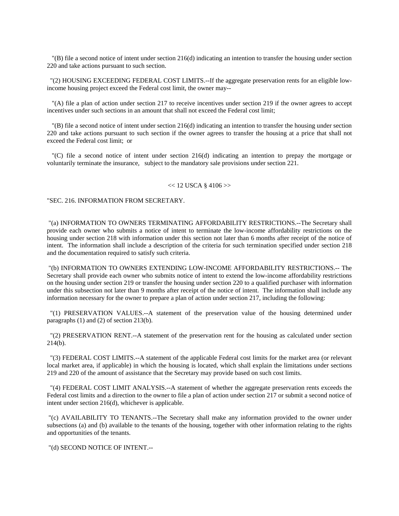"(B) file a second notice of intent under section 216(d) indicating an intention to transfer the housing under section 220 and take actions pursuant to such section.

 "(2) HOUSING EXCEEDING FEDERAL COST LIMITS.--If the aggregate preservation rents for an eligible lowincome housing project exceed the Federal cost limit, the owner may--

 "(A) file a plan of action under section 217 to receive incentives under section 219 if the owner agrees to accept incentives under such sections in an amount that shall not exceed the Federal cost limit;

 "(B) file a second notice of intent under section 216(d) indicating an intention to transfer the housing under section 220 and take actions pursuant to such section if the owner agrees to transfer the housing at a price that shall not exceed the Federal cost limit; or

 "(C) file a second notice of intent under section 216(d) indicating an intention to prepay the mortgage or voluntarily terminate the insurance, subject to the mandatory sale provisions under section 221.

#### $<< 12$  USCA § 4106 $>>$

"SEC. 216. INFORMATION FROM SECRETARY.

 "(a) INFORMATION TO OWNERS TERMINATING AFFORDABILITY RESTRICTIONS.--The Secretary shall provide each owner who submits a notice of intent to terminate the low-income affordability restrictions on the housing under section 218 with information under this section not later than 6 months after receipt of the notice of intent. The information shall include a description of the criteria for such termination specified under section 218 and the documentation required to satisfy such criteria.

 "(b) INFORMATION TO OWNERS EXTENDING LOW-INCOME AFFORDABILITY RESTRICTIONS.-- The Secretary shall provide each owner who submits notice of intent to extend the low-income affordability restrictions on the housing under section 219 or transfer the housing under section 220 to a qualified purchaser with information under this subsection not later than 9 months after receipt of the notice of intent. The information shall include any information necessary for the owner to prepare a plan of action under section 217, including the following:

 "(1) PRESERVATION VALUES.--A statement of the preservation value of the housing determined under paragraphs (1) and (2) of section 213(b).

 "(2) PRESERVATION RENT.--A statement of the preservation rent for the housing as calculated under section 214(b).

 "(3) FEDERAL COST LIMITS.--A statement of the applicable Federal cost limits for the market area (or relevant local market area, if applicable) in which the housing is located, which shall explain the limitations under sections 219 and 220 of the amount of assistance that the Secretary may provide based on such cost limits.

 "(4) FEDERAL COST LIMIT ANALYSIS.--A statement of whether the aggregate preservation rents exceeds the Federal cost limits and a direction to the owner to file a plan of action under section 217 or submit a second notice of intent under section 216(d), whichever is applicable.

 "(c) AVAILABILITY TO TENANTS.--The Secretary shall make any information provided to the owner under subsections (a) and (b) available to the tenants of the housing, together with other information relating to the rights and opportunities of the tenants.

"(d) SECOND NOTICE OF INTENT.--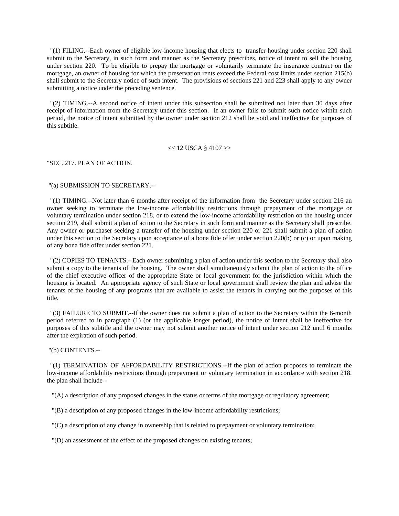"(1) FILING.--Each owner of eligible low-income housing that elects to transfer housing under section 220 shall submit to the Secretary, in such form and manner as the Secretary prescribes, notice of intent to sell the housing under section 220. To be eligible to prepay the mortgage or voluntarily terminate the insurance contract on the mortgage, an owner of housing for which the preservation rents exceed the Federal cost limits under section 215(b) shall submit to the Secretary notice of such intent. The provisions of sections 221 and 223 shall apply to any owner submitting a notice under the preceding sentence.

 "(2) TIMING.--A second notice of intent under this subsection shall be submitted not later than 30 days after receipt of information from the Secretary under this section. If an owner fails to submit such notice within such period, the notice of intent submitted by the owner under section 212 shall be void and ineffective for purposes of this subtitle.

 $<< 12$  USCA § 4107 $>>$ 

"SEC. 217. PLAN OF ACTION.

"(a) SUBMISSION TO SECRETARY.--

 "(1) TIMING.--Not later than 6 months after receipt of the information from the Secretary under section 216 an owner seeking to terminate the low-income affordability restrictions through prepayment of the mortgage or voluntary termination under section 218, or to extend the low-income affordability restriction on the housing under section 219, shall submit a plan of action to the Secretary in such form and manner as the Secretary shall prescribe. Any owner or purchaser seeking a transfer of the housing under section 220 or 221 shall submit a plan of action under this section to the Secretary upon acceptance of a bona fide offer under section 220(b) or (c) or upon making of any bona fide offer under section 221.

 "(2) COPIES TO TENANTS.--Each owner submitting a plan of action under this section to the Secretary shall also submit a copy to the tenants of the housing. The owner shall simultaneously submit the plan of action to the office of the chief executive officer of the appropriate State or local government for the jurisdiction within which the housing is located. An appropriate agency of such State or local government shall review the plan and advise the tenants of the housing of any programs that are available to assist the tenants in carrying out the purposes of this title.

 "(3) FAILURE TO SUBMIT.--If the owner does not submit a plan of action to the Secretary within the 6-month period referred to in paragraph (1) (or the applicable longer period), the notice of intent shall be ineffective for purposes of this subtitle and the owner may not submit another notice of intent under section 212 until 6 months after the expiration of such period.

"(b) CONTENTS.--

 "(1) TERMINATION OF AFFORDABILITY RESTRICTIONS.--If the plan of action proposes to terminate the low-income affordability restrictions through prepayment or voluntary termination in accordance with section 218, the plan shall include--

"(A) a description of any proposed changes in the status or terms of the mortgage or regulatory agreement;

"(B) a description of any proposed changes in the low-income affordability restrictions;

"(C) a description of any change in ownership that is related to prepayment or voluntary termination;

"(D) an assessment of the effect of the proposed changes on existing tenants;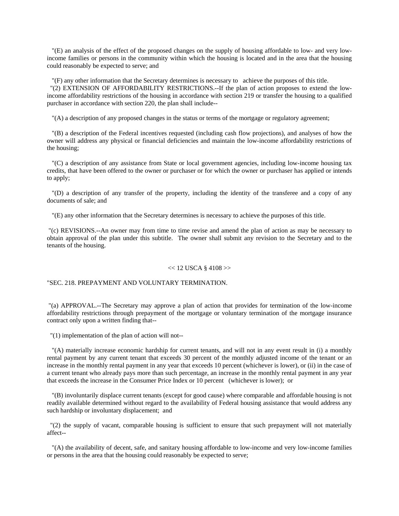"(E) an analysis of the effect of the proposed changes on the supply of housing affordable to low- and very lowincome families or persons in the community within which the housing is located and in the area that the housing could reasonably be expected to serve; and

 "(F) any other information that the Secretary determines is necessary to achieve the purposes of this title. "(2) EXTENSION OF AFFORDABILITY RESTRICTIONS.--If the plan of action proposes to extend the lowincome affordability restrictions of the housing in accordance with section 219 or transfer the housing to a qualified purchaser in accordance with section 220, the plan shall include--

"(A) a description of any proposed changes in the status or terms of the mortgage or regulatory agreement;

 "(B) a description of the Federal incentives requested (including cash flow projections), and analyses of how the owner will address any physical or financial deficiencies and maintain the low-income affordability restrictions of the housing;

 "(C) a description of any assistance from State or local government agencies, including low-income housing tax credits, that have been offered to the owner or purchaser or for which the owner or purchaser has applied or intends to apply;

 "(D) a description of any transfer of the property, including the identity of the transferee and a copy of any documents of sale; and

"(E) any other information that the Secretary determines is necessary to achieve the purposes of this title.

 "(c) REVISIONS.--An owner may from time to time revise and amend the plan of action as may be necessary to obtain approval of the plan under this subtitle. The owner shall submit any revision to the Secretary and to the tenants of the housing.

#### $<< 12$  USCA § 4108 $>>$

## "SEC. 218. PREPAYMENT AND VOLUNTARY TERMINATION.

 "(a) APPROVAL.--The Secretary may approve a plan of action that provides for termination of the low-income affordability restrictions through prepayment of the mortgage or voluntary termination of the mortgage insurance contract only upon a written finding that--

"(1) implementation of the plan of action will not--

 "(A) materially increase economic hardship for current tenants, and will not in any event result in (i) a monthly rental payment by any current tenant that exceeds 30 percent of the monthly adjusted income of the tenant or an increase in the monthly rental payment in any year that exceeds 10 percent (whichever is lower), or (ii) in the case of a current tenant who already pays more than such percentage, an increase in the monthly rental payment in any year that exceeds the increase in the Consumer Price Index or 10 percent (whichever is lower); or

 "(B) involuntarily displace current tenants (except for good cause) where comparable and affordable housing is not readily available determined without regard to the availability of Federal housing assistance that would address any such hardship or involuntary displacement; and

 "(2) the supply of vacant, comparable housing is sufficient to ensure that such prepayment will not materially affect--

 "(A) the availability of decent, safe, and sanitary housing affordable to low-income and very low-income families or persons in the area that the housing could reasonably be expected to serve;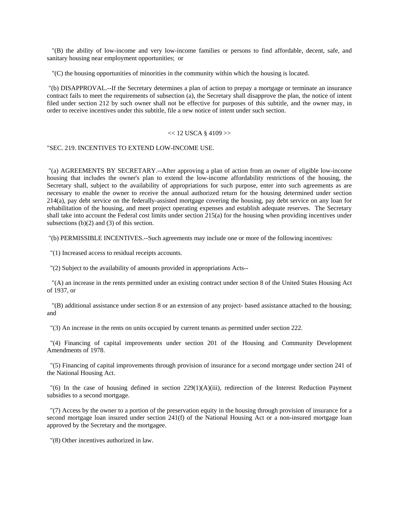"(B) the ability of low-income and very low-income families or persons to find affordable, decent, safe, and sanitary housing near employment opportunities; or

"(C) the housing opportunities of minorities in the community within which the housing is located.

 "(b) DISAPPROVAL.--If the Secretary determines a plan of action to prepay a mortgage or terminate an insurance contract fails to meet the requirements of subsection (a), the Secretary shall disapprove the plan, the notice of intent filed under section 212 by such owner shall not be effective for purposes of this subtitle, and the owner may, in order to receive incentives under this subtitle, file a new notice of intent under such section.

## $<< 12$  USCA § 4109 $>>$

"SEC. 219. INCENTIVES TO EXTEND LOW-INCOME USE.

 "(a) AGREEMENTS BY SECRETARY.--After approving a plan of action from an owner of eligible low-income housing that includes the owner's plan to extend the low-income affordability restrictions of the housing, the Secretary shall, subject to the availability of appropriations for such purpose, enter into such agreements as are necessary to enable the owner to receive the annual authorized return for the housing determined under section 214(a), pay debt service on the federally-assisted mortgage covering the housing, pay debt service on any loan for rehabilitation of the housing, and meet project operating expenses and establish adequate reserves. The Secretary shall take into account the Federal cost limits under section 215(a) for the housing when providing incentives under subsections  $(b)(2)$  and  $(3)$  of this section.

"(b) PERMISSIBLE INCENTIVES.--Such agreements may include one or more of the following incentives:

"(1) Increased access to residual receipts accounts.

"(2) Subject to the availability of amounts provided in appropriations Acts--

 "(A) an increase in the rents permitted under an existing contract under section 8 of the United States Housing Act of 1937, or

 "(B) additional assistance under section 8 or an extension of any project- based assistance attached to the housing; and

"(3) An increase in the rents on units occupied by current tenants as permitted under section 222.

 "(4) Financing of capital improvements under section 201 of the Housing and Community Development Amendments of 1978.

 "(5) Financing of capital improvements through provision of insurance for a second mortgage under section 241 of the National Housing Act.

 $\Gamma(6)$  In the case of housing defined in section 229(1)(A)(iii), redirection of the Interest Reduction Payment subsidies to a second mortgage.

 "(7) Access by the owner to a portion of the preservation equity in the housing through provision of insurance for a second mortgage loan insured under section 241(f) of the National Housing Act or a non-insured mortgage loan approved by the Secretary and the mortgagee.

"(8) Other incentives authorized in law.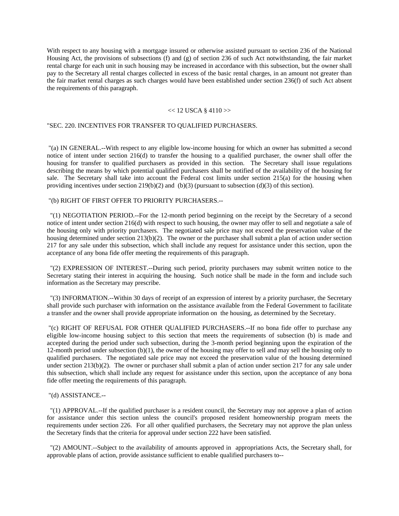With respect to any housing with a mortgage insured or otherwise assisted pursuant to section 236 of the National Housing Act, the provisions of subsections (f) and (g) of section 236 of such Act notwithstanding, the fair market rental charge for each unit in such housing may be increased in accordance with this subsection, but the owner shall pay to the Secretary all rental charges collected in excess of the basic rental charges, in an amount not greater than the fair market rental charges as such charges would have been established under section 236(f) of such Act absent the requirements of this paragraph.

## $<< 12$  USCA § 4110 $>>$

## "SEC. 220. INCENTIVES FOR TRANSFER TO QUALIFIED PURCHASERS.

 "(a) IN GENERAL.--With respect to any eligible low-income housing for which an owner has submitted a second notice of intent under section 216(d) to transfer the housing to a qualified purchaser, the owner shall offer the housing for transfer to qualified purchasers as provided in this section. The Secretary shall issue regulations describing the means by which potential qualified purchasers shall be notified of the availability of the housing for sale. The Secretary shall take into account the Federal cost limits under section 215(a) for the housing when providing incentives under section  $219(b)(2)$  and  $(b)(3)$  (pursuant to subsection (d)(3) of this section).

## "(b) RIGHT OF FIRST OFFER TO PRIORITY PURCHASERS.--

 "(1) NEGOTIATION PERIOD.--For the 12-month period beginning on the receipt by the Secretary of a second notice of intent under section 216(d) with respect to such housing, the owner may offer to sell and negotiate a sale of the housing only with priority purchasers. The negotiated sale price may not exceed the preservation value of the housing determined under section 213(b)(2). The owner or the purchaser shall submit a plan of action under section 217 for any sale under this subsection, which shall include any request for assistance under this section, upon the acceptance of any bona fide offer meeting the requirements of this paragraph.

 "(2) EXPRESSION OF INTEREST.--During such period, priority purchasers may submit written notice to the Secretary stating their interest in acquiring the housing. Such notice shall be made in the form and include such information as the Secretary may prescribe.

 "(3) INFORMATION.--Within 30 days of receipt of an expression of interest by a priority purchaser, the Secretary shall provide such purchaser with information on the assistance available from the Federal Government to facilitate a transfer and the owner shall provide appropriate information on the housing, as determined by the Secretary.

 "(c) RIGHT OF REFUSAL FOR OTHER QUALIFIED PURCHASERS.--If no bona fide offer to purchase any eligible low-income housing subject to this section that meets the requirements of subsection (b) is made and accepted during the period under such subsection, during the 3-month period beginning upon the expiration of the 12-month period under subsection (b)(1), the owner of the housing may offer to sell and may sell the housing only to qualified purchasers. The negotiated sale price may not exceed the preservation value of the housing determined under section 213(b)(2). The owner or purchaser shall submit a plan of action under section 217 for any sale under this subsection, which shall include any request for assistance under this section, upon the acceptance of any bona fide offer meeting the requirements of this paragraph.

#### "(d) ASSISTANCE.--

 "(1) APPROVAL.--If the qualified purchaser is a resident council, the Secretary may not approve a plan of action for assistance under this section unless the council's proposed resident homeownership program meets the requirements under section 226. For all other qualified purchasers, the Secretary may not approve the plan unless the Secretary finds that the criteria for approval under section 222 have been satisfied.

 "(2) AMOUNT.--Subject to the availability of amounts approved in appropriations Acts, the Secretary shall, for approvable plans of action, provide assistance sufficient to enable qualified purchasers to--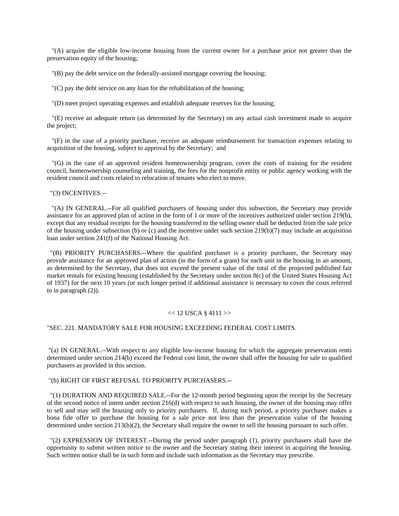"(A) acquire the eligible low-income housing from the current owner for a purchase price not greater than the preservation equity of the housing;

"(B) pay the debt service on the federally-assisted mortgage covering the housing;

"(C) pay the debt service on any loan for the rehabilitation of the housing;

"(D) meet project operating expenses and establish adequate reserves for the housing;

 "(E) receive an adequate return (as determined by the Secretary) on any actual cash investment made to acquire the project;

 "(F) in the case of a priority purchaser, receive an adequate reimbursement for transaction expenses relating to acquisition of the housing, subject to approval by the Secretary; and

 "(G) in the case of an approved resident homeownership program, cover the costs of training for the resident council, homeownership counseling and training, the fees for the nonprofit entity or public agency working with the resident council and costs related to relocation of tenants who elect to move.

"(3) INCENTIVES.--

 "(A) IN GENERAL.--For all qualified purchasers of housing under this subsection, the Secretary may provide assistance for an approved plan of action in the form of 1 or more of the incentives authorized under section 219(b), except that any residual receipts for the housing transferred to the selling owner shall be deducted from the sale price of the housing under subsection (b) or (c) and the incentive under such section  $219(b)(7)$  may include an acquisition loan under section 241(f) of the National Housing Act.

 "(B) PRIORITY PURCHASERS.--Where the qualified purchaser is a priority purchaser, the Secretary may provide assistance for an approved plan of action (in the form of a grant) for each unit in the housing in an amount, as determined by the Secretary, that does not exceed the present value of the total of the projected published fair market rentals for existing housing (established by the Secretary under section 8(c) of the United States Housing Act of 1937) for the next 10 years (or such longer period if additional assistance is necessary to cover the costs referred to in paragraph (2)).

#### $<< 12$  USCA  $\frac{8}{4111}$  >>

## "SEC. 221. MANDATORY SALE FOR HOUSING EXCEEDING FEDERAL COST LIMITS.

 "(a) IN GENERAL.--With respect to any eligible low-income housing for which the aggregate preservation rents determined under section 214(b) exceed the Federal cost limit, the owner shall offer the housing for sale to qualified purchasers as provided in this section.

"(b) RIGHT OF FIRST REFUSAL TO PRIORITY PURCHASERS.--

 "(1) DURATION AND REQUIRED SALE.--For the 12-month period beginning upon the receipt by the Secretary of the second notice of intent under section 216(d) with respect to such housing, the owner of the housing may offer to sell and may sell the housing only to priority purchasers. If, during such period, a priority purchaser makes a bona fide offer to purchase the housing for a sale price not less than the preservation value of the housing determined under section 213(b)(2), the Secretary shall require the owner to sell the housing pursuant to such offer.

 "(2) EXPRESSION OF INTEREST.--During the period under paragraph (1), priority purchasers shall have the opportunity to submit written notice to the owner and the Secretary stating their interest in acquiring the housing. Such written notice shall be in such form and include such information as the Secretary may prescribe.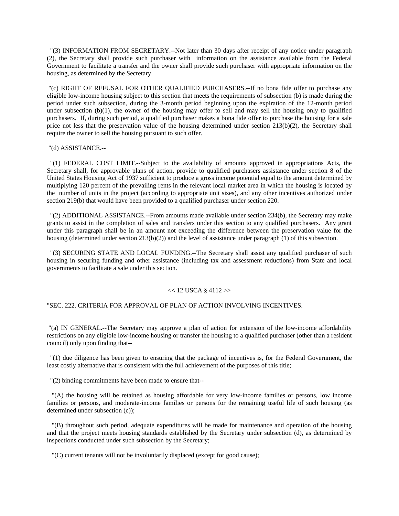"(3) INFORMATION FROM SECRETARY.--Not later than 30 days after receipt of any notice under paragraph (2), the Secretary shall provide such purchaser with information on the assistance available from the Federal Government to facilitate a transfer and the owner shall provide such purchaser with appropriate information on the housing, as determined by the Secretary.

 "(c) RIGHT OF REFUSAL FOR OTHER QUALIFIED PURCHASERS.--If no bona fide offer to purchase any eligible low-income housing subject to this section that meets the requirements of subsection (b) is made during the period under such subsection, during the 3-month period beginning upon the expiration of the 12-month period under subsection  $(b)(1)$ , the owner of the housing may offer to sell and may sell the housing only to qualified purchasers. If, during such period, a qualified purchaser makes a bona fide offer to purchase the housing for a sale price not less that the preservation value of the housing determined under section 213(b)(2), the Secretary shall require the owner to sell the housing pursuant to such offer.

"(d) ASSISTANCE.--

 "(1) FEDERAL COST LIMIT.--Subject to the availability of amounts approved in appropriations Acts, the Secretary shall, for approvable plans of action, provide to qualified purchasers assistance under section 8 of the United States Housing Act of 1937 sufficient to produce a gross income potential equal to the amount determined by multiplying 120 percent of the prevailing rents in the relevant local market area in which the housing is located by the number of units in the project (according to appropriate unit sizes), and any other incentives authorized under section 219(b) that would have been provided to a qualified purchaser under section 220.

 "(2) ADDITIONAL ASSISTANCE.--From amounts made available under section 234(b), the Secretary may make grants to assist in the completion of sales and transfers under this section to any qualified purchasers. Any grant under this paragraph shall be in an amount not exceeding the difference between the preservation value for the housing (determined under section 213(b)(2)) and the level of assistance under paragraph (1) of this subsection.

 "(3) SECURING STATE AND LOCAL FUNDING.--The Secretary shall assist any qualified purchaser of such housing in securing funding and other assistance (including tax and assessment reductions) from State and local governments to facilitate a sale under this section.

### $<< 12$  USCA § 4112 $>>$

## "SEC. 222. CRITERIA FOR APPROVAL OF PLAN OF ACTION INVOLVING INCENTIVES.

 "(a) IN GENERAL.--The Secretary may approve a plan of action for extension of the low-income affordability restrictions on any eligible low-income housing or transfer the housing to a qualified purchaser (other than a resident council) only upon finding that--

 "(1) due diligence has been given to ensuring that the package of incentives is, for the Federal Government, the least costly alternative that is consistent with the full achievement of the purposes of this title;

"(2) binding commitments have been made to ensure that--

 "(A) the housing will be retained as housing affordable for very low-income families or persons, low income families or persons, and moderate-income families or persons for the remaining useful life of such housing (as determined under subsection (c));

 "(B) throughout such period, adequate expenditures will be made for maintenance and operation of the housing and that the project meets housing standards established by the Secretary under subsection (d), as determined by inspections conducted under such subsection by the Secretary;

"(C) current tenants will not be involuntarily displaced (except for good cause);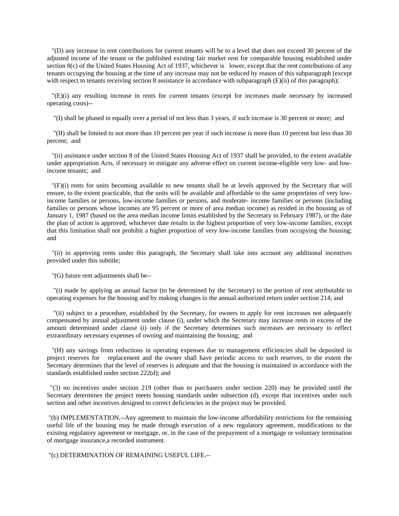"(D) any increase in rent contributions for current tenants will be to a level that does not exceed 30 percent of the adjusted income of the tenant or the published existing fair market rent for comparable housing established under section 8(c) of the United States Housing Act of 1937, whichever is lower, except that the rent contributions of any tenants occupying the housing at the time of any increase may not be reduced by reason of this subparagraph (except with respect to tenants receiving section 8 assistance in accordance with subparagraph (E)(ii) of this paragraph);

 "(E)(i) any resulting increase in rents for current tenants (except for increases made necessary by increased operating costs)--

"(I) shall be phased in equally over a period of not less than 3 years, if such increase is 30 percent or more; and

 "(II) shall be limited to not more than 10 percent per year if such increase is more than 10 percent but less than 30 percent; and

 "(ii) assistance under section 8 of the United States Housing Act of 1937 shall be provided, to the extent available under appropriation Acts, if necessary to mitigate any adverse effect on current income-eligible very low- and lowincome tenants; and

 "(F)(i) rents for units becoming available to new tenants shall be at levels approved by the Secretary that will ensure, to the extent practicable, that the units will be available and affordable to the same proportions of very lowincome families or persons, low-income families or persons, and moderate- income families or persons (including families or persons whose incomes are 95 percent or more of area median income) as resided in the housing as of January 1, 1987 (based on the area median income limits established by the Secretary in February 1987), or the date the plan of action is approved, whichever date results in the highest proportion of very low-income families, except that this limitation shall not prohibit a higher proportion of very low-income families from occupying the housing; and

 "(ii) in approving rents under this paragraph, the Secretary shall take into account any additional incentives provided under this subtitle;

"(G) future rent adjustments shall be--

 "(i) made by applying an annual factor (to be determined by the Secretary) to the portion of rent attributable to operating expenses for the housing and by making changes in the annual authorized return under section 214; and

 "(ii) subject to a procedure, established by the Secretary, for owners to apply for rent increases not adequately compensated by annual adjustment under clause (i), under which the Secretary may increase rents in excess of the amount determined under clause (i) only if the Secretary determines such increases are necessary to reflect extraordinary necessary expenses of owning and maintaining the housing; and

 "(H) any savings from reductions in operating expenses due to management efficiencies shall be deposited in project reserves for replacement and the owner shall have periodic access to such reserves, to the extent the Secretary determines that the level of reserves is adequate and that the housing is maintained in accordance with the standards established under section 222(d); and

 "(3) no incentives under section 219 (other than to purchasers under section 220) may be provided until the Secretary determines the project meets housing standards under subsection (d), except that incentives under such section and other incentives designed to correct deficiencies in the project may be provided.

 "(b) IMPLEMENTATION.--Any agreement to maintain the low-income affordability restrictions for the remaining useful life of the housing may be made through execution of a new regulatory agreement, modifications to the existing regulatory agreement or mortgage, or, in the case of the prepayment of a mortgage or voluntary termination of mortgage insurance,a recorded instrument.

"(c) DETERMINATION OF REMAINING USEFUL LIFE.--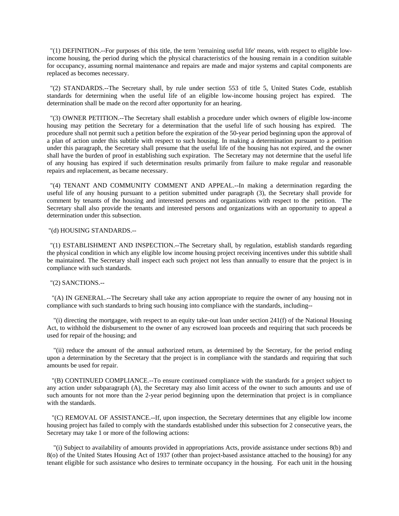"(1) DEFINITION.--For purposes of this title, the term 'remaining useful life' means, with respect to eligible lowincome housing, the period during which the physical characteristics of the housing remain in a condition suitable for occupancy, assuming normal maintenance and repairs are made and major systems and capital components are replaced as becomes necessary.

 "(2) STANDARDS.--The Secretary shall, by rule under section 553 of title 5, United States Code, establish standards for determining when the useful life of an eligible low-income housing project has expired. The determination shall be made on the record after opportunity for an hearing.

 "(3) OWNER PETITION.--The Secretary shall establish a procedure under which owners of eligible low-income housing may petition the Secretary for a determination that the useful life of such housing has expired. The procedure shall not permit such a petition before the expiration of the 50-year period beginning upon the approval of a plan of action under this subtitle with respect to such housing. In making a determination pursuant to a petition under this paragraph, the Secretary shall presume that the useful life of the housing has not expired, and the owner shall have the burden of proof in establishing such expiration. The Secretary may not determine that the useful life of any housing has expired if such determination results primarily from failure to make regular and reasonable repairs and replacement, as became necessary.

 "(4) TENANT AND COMMUNITY COMMENT AND APPEAL.--In making a determination regarding the useful life of any housing pursuant to a petition submitted under paragraph (3), the Secretary shall provide for comment by tenants of the housing and interested persons and organizations with respect to the petition. The Secretary shall also provide the tenants and interested persons and organizations with an opportunity to appeal a determination under this subsection.

## "(d) HOUSING STANDARDS.--

 "(1) ESTABLISHMENT AND INSPECTION.--The Secretary shall, by regulation, establish standards regarding the physical condition in which any eligible low income housing project receiving incentives under this subtitle shall be maintained. The Secretary shall inspect each such project not less than annually to ensure that the project is in compliance with such standards.

### "(2) SANCTIONS.--

 "(A) IN GENERAL.--The Secretary shall take any action appropriate to require the owner of any housing not in compliance with such standards to bring such housing into compliance with the standards, including--

 "(i) directing the mortgagee, with respect to an equity take-out loan under section 241(f) of the National Housing Act, to withhold the disbursement to the owner of any escrowed loan proceeds and requiring that such proceeds be used for repair of the housing; and

 "(ii) reduce the amount of the annual authorized return, as determined by the Secretary, for the period ending upon a determination by the Secretary that the project is in compliance with the standards and requiring that such amounts be used for repair.

 "(B) CONTINUED COMPLIANCE.--To ensure continued compliance with the standards for a project subject to any action under subparagraph (A), the Secretary may also limit access of the owner to such amounts and use of such amounts for not more than the 2-year period beginning upon the determination that project is in compliance with the standards.

 "(C) REMOVAL OF ASSISTANCE.--If, upon inspection, the Secretary determines that any eligible low income housing project has failed to comply with the standards established under this subsection for 2 consecutive years, the Secretary may take 1 or more of the following actions:

 "(i) Subject to availability of amounts provided in appropriations Acts, provide assistance under sections 8(b) and 8(o) of the United States Housing Act of 1937 (other than project-based assistance attached to the housing) for any tenant eligible for such assistance who desires to terminate occupancy in the housing. For each unit in the housing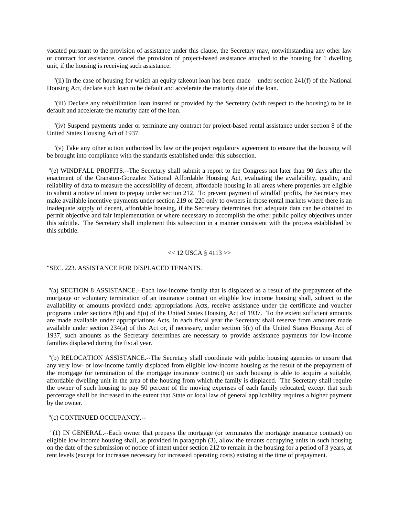vacated pursuant to the provision of assistance under this clause, the Secretary may, notwithstanding any other law or contract for assistance, cancel the provision of project-based assistance attached to the housing for 1 dwelling unit, if the housing is receiving such assistance.

 "(ii) In the case of housing for which an equity takeout loan has been made under section 241(f) of the National Housing Act, declare such loan to be default and accelerate the maturity date of the loan.

 "(iii) Declare any rehabilitation loan insured or provided by the Secretary (with respect to the housing) to be in default and accelerate the maturity date of the loan.

 "(iv) Suspend payments under or terminate any contract for project-based rental assistance under section 8 of the United States Housing Act of 1937.

 "(v) Take any other action authorized by law or the project regulatory agreement to ensure that the housing will be brought into compliance with the standards established under this subsection.

 "(e) WINDFALL PROFITS.--The Secretary shall submit a report to the Congress not later than 90 days after the enactment of the Cranston-Gonzalez National Affordable Housing Act, evaluating the availability, quality, and reliability of data to measure the accessibility of decent, affordable housing in all areas where properties are eligible to submit a notice of intent to prepay under section 212. To prevent payment of windfall profits, the Secretary may make available incentive payments under section 219 or 220 only to owners in those rental markets where there is an inadequate supply of decent, affordable housing, if the Secretary determines that adequate data can be obtained to permit objective and fair implementation or where necessary to accomplish the other public policy objectives under this subtitle. The Secretary shall implement this subsection in a manner consistent with the process established by this subtitle.

#### $<< 12$  USCA  $\frac{8}{4113}$  >>

## "SEC. 223. ASSISTANCE FOR DISPLACED TENANTS.

 "(a) SECTION 8 ASSISTANCE.--Each low-income family that is displaced as a result of the prepayment of the mortgage or voluntary termination of an insurance contract on eligible low income housing shall, subject to the availability or amounts provided under appropriations Acts, receive assistance under the certificate and voucher programs under sections 8(b) and 8(o) of the United States Housing Act of 1937. To the extent sufficient amounts are made available under appropriations Acts, in each fiscal year the Secretary shall reserve from amounts made available under section 234(a) of this Act or, if necessary, under section 5(c) of the United States Housing Act of 1937, such amounts as the Secretary determines are necessary to provide assistance payments for low-income families displaced during the fiscal year.

 "(b) RELOCATION ASSISTANCE.--The Secretary shall coordinate with public housing agencies to ensure that any very low- or low-income family displaced from eligible low-income housing as the result of the prepayment of the mortgage (or termination of the mortgage insurance contract) on such housing is able to acquire a suitable, affordable dwelling unit in the area of the housing from which the family is displaced. The Secretary shall require the owner of such housing to pay 50 percent of the moving expenses of each family relocated, except that such percentage shall be increased to the extent that State or local law of general applicability requires a higher payment by the owner.

### "(c) CONTINUED OCCUPANCY.--

 "(1) IN GENERAL.--Each owner that prepays the mortgage (or terminates the mortgage insurance contract) on eligible low-income housing shall, as provided in paragraph (3), allow the tenants occupying units in such housing on the date of the submission of notice of intent under section 212 to remain in the housing for a period of 3 years, at rent levels (except for increases necessary for increased operating costs) existing at the time of prepayment.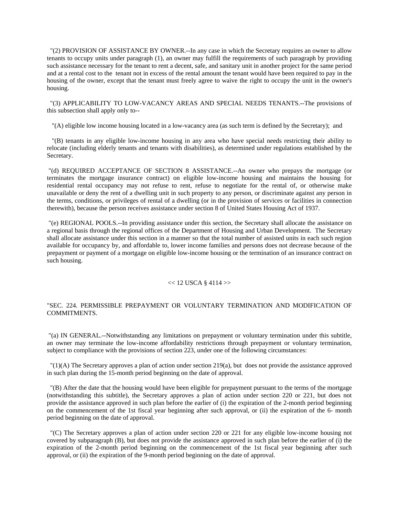"(2) PROVISION OF ASSISTANCE BY OWNER.--In any case in which the Secretary requires an owner to allow tenants to occupy units under paragraph (1), an owner may fulfill the requirements of such paragraph by providing such assistance necessary for the tenant to rent a decent, safe, and sanitary unit in another project for the same period and at a rental cost to the tenant not in excess of the rental amount the tenant would have been required to pay in the housing of the owner, except that the tenant must freely agree to waive the right to occupy the unit in the owner's housing.

 "(3) APPLICABILITY TO LOW-VACANCY AREAS AND SPECIAL NEEDS TENANTS.--The provisions of this subsection shall apply only to--

"(A) eligible low income housing located in a low-vacancy area (as such term is defined by the Secretary); and

 "(B) tenants in any eligible low-income housing in any area who have special needs restricting their ability to relocate (including elderly tenants and tenants with disabilities), as determined under regulations established by the Secretary.

 "(d) REQUIRED ACCEPTANCE OF SECTION 8 ASSISTANCE.--An owner who prepays the mortgage (or terminates the mortgage insurance contract) on eligible low-income housing and maintains the housing for residential rental occupancy may not refuse to rent, refuse to negotiate for the rental of, or otherwise make unavailable or deny the rent of a dwelling unit in such property to any person, or discriminate against any person in the terms, conditions, or privileges of rental of a dwelling (or in the provision of services or facilities in connection therewith), because the person receives assistance under section 8 of United States Housing Act of 1937.

 "(e) REGIONAL POOLS.--In providing assistance under this section, the Secretary shall allocate the assistance on a regional basis through the regional offices of the Department of Housing and Urban Development. The Secretary shall allocate assistance under this section in a manner so that the total number of assisted units in each such region available for occupancy by, and affordable to, lower income families and persons does not decrease because of the prepayment or payment of a mortgage on eligible low-income housing or the termination of an insurance contract on such housing.

## $<< 12$  USCA § 4114 $>>$

# "SEC. 224. PERMISSIBLE PREPAYMENT OR VOLUNTARY TERMINATION AND MODIFICATION OF COMMITMENTS.

 "(a) IN GENERAL.--Notwithstanding any limitations on prepayment or voluntary termination under this subtitle, an owner may terminate the low-income affordability restrictions through prepayment or voluntary termination, subject to compliance with the provisions of section 223, under one of the following circumstances:

 "(1)(A) The Secretary approves a plan of action under section 219(a), but does not provide the assistance approved in such plan during the 15-month period beginning on the date of approval.

 "(B) After the date that the housing would have been eligible for prepayment pursuant to the terms of the mortgage (notwithstanding this subtitle), the Secretary approves a plan of action under section 220 or 221, but does not provide the assistance approved in such plan before the earlier of (i) the expiration of the 2-month period beginning on the commencement of the 1st fiscal year beginning after such approval, or (ii) the expiration of the 6- month period beginning on the date of approval.

 "(C) The Secretary approves a plan of action under section 220 or 221 for any eligible low-income housing not covered by subparagraph (B), but does not provide the assistance approved in such plan before the earlier of (i) the expiration of the 2-month period beginning on the commencement of the 1st fiscal year beginning after such approval, or (ii) the expiration of the 9-month period beginning on the date of approval.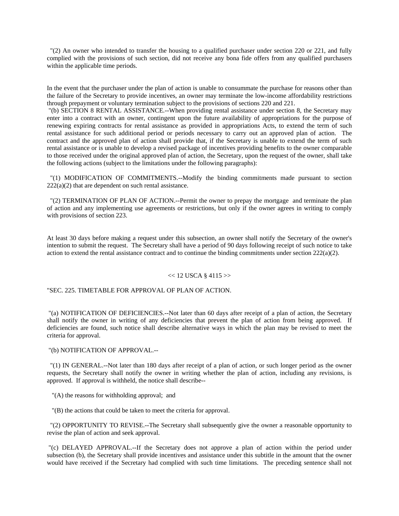"(2) An owner who intended to transfer the housing to a qualified purchaser under section 220 or 221, and fully complied with the provisions of such section, did not receive any bona fide offers from any qualified purchasers within the applicable time periods.

In the event that the purchaser under the plan of action is unable to consummate the purchase for reasons other than the failure of the Secretary to provide incentives, an owner may terminate the low-income affordability restrictions through prepayment or voluntary termination subject to the provisions of sections 220 and 221.

 "(b) SECTION 8 RENTAL ASSISTANCE.--When providing rental assistance under section 8, the Secretary may enter into a contract with an owner, contingent upon the future availability of appropriations for the purpose of renewing expiring contracts for rental assistance as provided in appropriations Acts, to extend the term of such rental assistance for such additional period or periods necessary to carry out an approved plan of action. The contract and the approved plan of action shall provide that, if the Secretary is unable to extend the term of such rental assistance or is unable to develop a revised package of incentives providing benefits to the owner comparable to those received under the original approved plan of action, the Secretary, upon the request of the owner, shall take the following actions (subject to the limitations under the following paragraphs):

 "(1) MODIFICATION OF COMMITMENTS.--Modify the binding commitments made pursuant to section  $222(a)(2)$  that are dependent on such rental assistance.

 "(2) TERMINATION OF PLAN OF ACTION.--Permit the owner to prepay the mortgage and terminate the plan of action and any implementing use agreements or restrictions, but only if the owner agrees in writing to comply with provisions of section 223.

At least 30 days before making a request under this subsection, an owner shall notify the Secretary of the owner's intention to submit the request. The Secretary shall have a period of 90 days following receipt of such notice to take action to extend the rental assistance contract and to continue the binding commitments under section  $222(a)(2)$ .

## $<< 12$  USCA § 4115 $>>$

# "SEC. 225. TIMETABLE FOR APPROVAL OF PLAN OF ACTION.

 "(a) NOTIFICATION OF DEFICIENCIES.--Not later than 60 days after receipt of a plan of action, the Secretary shall notify the owner in writing of any deficiencies that prevent the plan of action from being approved. If deficiencies are found, such notice shall describe alternative ways in which the plan may be revised to meet the criteria for approval.

## "(b) NOTIFICATION OF APPROVAL.--

 "(1) IN GENERAL.--Not later than 180 days after receipt of a plan of action, or such longer period as the owner requests, the Secretary shall notify the owner in writing whether the plan of action, including any revisions, is approved. If approval is withheld, the notice shall describe--

"(A) the reasons for withholding approval; and

"(B) the actions that could be taken to meet the criteria for approval.

 "(2) OPPORTUNITY TO REVISE.--The Secretary shall subsequently give the owner a reasonable opportunity to revise the plan of action and seek approval.

 "(c) DELAYED APPROVAL.--If the Secretary does not approve a plan of action within the period under subsection (b), the Secretary shall provide incentives and assistance under this subtitle in the amount that the owner would have received if the Secretary had complied with such time limitations. The preceding sentence shall not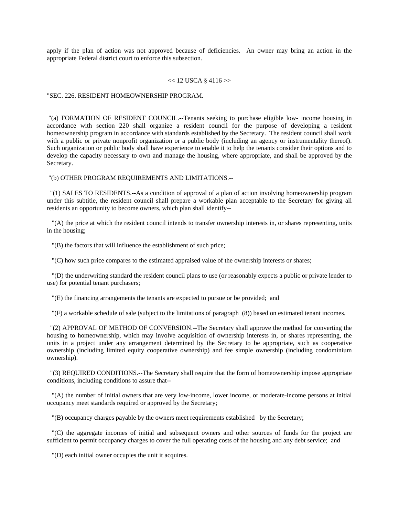apply if the plan of action was not approved because of deficiencies. An owner may bring an action in the appropriate Federal district court to enforce this subsection.

### $<< 12$  USCA § 4116 $>>$

#### "SEC. 226. RESIDENT HOMEOWNERSHIP PROGRAM.

 "(a) FORMATION OF RESIDENT COUNCIL.--Tenants seeking to purchase eligible low- income housing in accordance with section 220 shall organize a resident council for the purpose of developing a resident homeownership program in accordance with standards established by the Secretary. The resident council shall work with a public or private nonprofit organization or a public body (including an agency or instrumentality thereof). Such organization or public body shall have experience to enable it to help the tenants consider their options and to develop the capacity necessary to own and manage the housing, where appropriate, and shall be approved by the Secretary.

### "(b) OTHER PROGRAM REQUIREMENTS AND LIMITATIONS.--

 "(1) SALES TO RESIDENTS.--As a condition of approval of a plan of action involving homeownership program under this subtitle, the resident council shall prepare a workable plan acceptable to the Secretary for giving all residents an opportunity to become owners, which plan shall identify--

 "(A) the price at which the resident council intends to transfer ownership interests in, or shares representing, units in the housing;

"(B) the factors that will influence the establishment of such price;

"(C) how such price compares to the estimated appraised value of the ownership interests or shares;

 "(D) the underwriting standard the resident council plans to use (or reasonably expects a public or private lender to use) for potential tenant purchasers;

"(E) the financing arrangements the tenants are expected to pursue or be provided; and

"(F) a workable schedule of sale (subject to the limitations of paragraph (8)) based on estimated tenant incomes.

 "(2) APPROVAL OF METHOD OF CONVERSION.--The Secretary shall approve the method for converting the housing to homeownership, which may involve acquisition of ownership interests in, or shares representing, the units in a project under any arrangement determined by the Secretary to be appropriate, such as cooperative ownership (including limited equity cooperative ownership) and fee simple ownership (including condominium ownership).

 "(3) REQUIRED CONDITIONS.--The Secretary shall require that the form of homeownership impose appropriate conditions, including conditions to assure that--

 "(A) the number of initial owners that are very low-income, lower income, or moderate-income persons at initial occupancy meet standards required or approved by the Secretary;

"(B) occupancy charges payable by the owners meet requirements established by the Secretary;

 "(C) the aggregate incomes of initial and subsequent owners and other sources of funds for the project are sufficient to permit occupancy charges to cover the full operating costs of the housing and any debt service; and

"(D) each initial owner occupies the unit it acquires.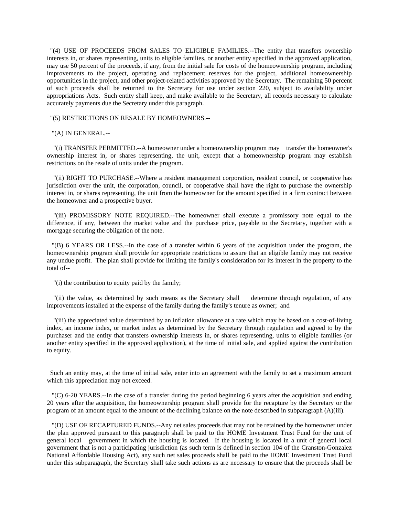"(4) USE OF PROCEEDS FROM SALES TO ELIGIBLE FAMILIES.--The entity that transfers ownership interests in, or shares representing, units to eligible families, or another entity specified in the approved application, may use 50 percent of the proceeds, if any, from the initial sale for costs of the homeownership program, including improvements to the project, operating and replacement reserves for the project, additional homeownership opportunities in the project, and other project-related activities approved by the Secretary. The remaining 50 percent of such proceeds shall be returned to the Secretary for use under section 220, subject to availability under appropriations Acts. Such entity shall keep, and make available to the Secretary, all records necessary to calculate accurately payments due the Secretary under this paragraph.

## "(5) RESTRICTIONS ON RESALE BY HOMEOWNERS.--

## "(A) IN GENERAL.--

 "(i) TRANSFER PERMITTED.--A homeowner under a homeownership program may transfer the homeowner's ownership interest in, or shares representing, the unit, except that a homeownership program may establish restrictions on the resale of units under the program.

 "(ii) RIGHT TO PURCHASE.--Where a resident management corporation, resident council, or cooperative has jurisdiction over the unit, the corporation, council, or cooperative shall have the right to purchase the ownership interest in, or shares representing, the unit from the homeowner for the amount specified in a firm contract between the homeowner and a prospective buyer.

 "(iii) PROMISSORY NOTE REQUIRED.--The homeowner shall execute a promissory note equal to the difference, if any, between the market value and the purchase price, payable to the Secretary, together with a mortgage securing the obligation of the note.

 "(B) 6 YEARS OR LESS.--In the case of a transfer within 6 years of the acquisition under the program, the homeownership program shall provide for appropriate restrictions to assure that an eligible family may not receive any undue profit. The plan shall provide for limiting the family's consideration for its interest in the property to the total of--

"(i) the contribution to equity paid by the family;

 "(ii) the value, as determined by such means as the Secretary shall determine through regulation, of any improvements installed at the expense of the family during the family's tenure as owner; and

 "(iii) the appreciated value determined by an inflation allowance at a rate which may be based on a cost-of-living index, an income index, or market index as determined by the Secretary through regulation and agreed to by the purchaser and the entity that transfers ownership interests in, or shares representing, units to eligible families (or another entity specified in the approved application), at the time of initial sale, and applied against the contribution to equity.

 Such an entity may, at the time of initial sale, enter into an agreement with the family to set a maximum amount which this appreciation may not exceed.

 "(C) 6-20 YEARS.--In the case of a transfer during the period beginning 6 years after the acquisition and ending 20 years after the acquisition, the homeownership program shall provide for the recapture by the Secretary or the program of an amount equal to the amount of the declining balance on the note described in subparagraph (A)(iii).

 "(D) USE OF RECAPTURED FUNDS.--Any net sales proceeds that may not be retained by the homeowner under the plan approved pursuant to this paragraph shall be paid to the HOME Investment Trust Fund for the unit of general local government in which the housing is located. If the housing is located in a unit of general local government that is not a participating jurisdiction (as such term is defined in section 104 of the Cranston-Gonzalez National Affordable Housing Act), any such net sales proceeds shall be paid to the HOME Investment Trust Fund under this subparagraph, the Secretary shall take such actions as are necessary to ensure that the proceeds shall be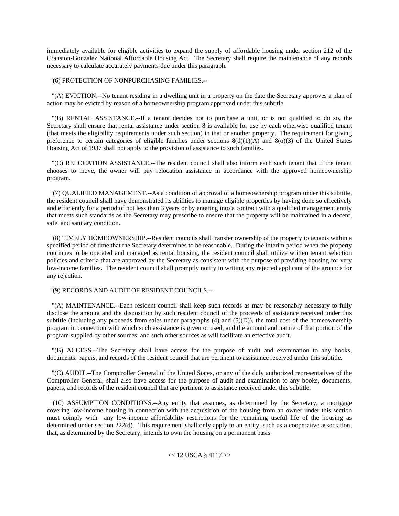immediately available for eligible activities to expand the supply of affordable housing under section 212 of the Cranston-Gonzalez National Affordable Housing Act. The Secretary shall require the maintenance of any records necessary to calculate accurately payments due under this paragraph.

"(6) PROTECTION OF NONPURCHASING FAMILIES.--

 "(A) EVICTION.--No tenant residing in a dwelling unit in a property on the date the Secretary approves a plan of action may be evicted by reason of a homeownership program approved under this subtitle.

 "(B) RENTAL ASSISTANCE.--If a tenant decides not to purchase a unit, or is not qualified to do so, the Secretary shall ensure that rental assistance under section 8 is available for use by each otherwise qualified tenant (that meets the eligibility requirements under such section) in that or another property. The requirement for giving preference to certain categories of eligible families under sections  $8(d)(1)(A)$  and  $8(0)(3)$  of the United States Housing Act of 1937 shall not apply to the provision of assistance to such families.

 "(C) RELOCATION ASSISTANCE.--The resident council shall also inform each such tenant that if the tenant chooses to move, the owner will pay relocation assistance in accordance with the approved homeownership program.

 "(7) QUALIFIED MANAGEMENT.--As a condition of approval of a homeownership program under this subtitle, the resident council shall have demonstrated its abilities to manage eligible properties by having done so effectively and efficiently for a period of not less than 3 years or by entering into a contract with a qualified management entity that meets such standards as the Secretary may prescribe to ensure that the property will be maintained in a decent, safe, and sanitary condition.

 "(8) TIMELY HOMEOWNERSHIP.--Resident councils shall transfer ownership of the property to tenants within a specified period of time that the Secretary determines to be reasonable. During the interim period when the property continues to be operated and managed as rental housing, the resident council shall utilize written tenant selection policies and criteria that are approved by the Secretary as consistent with the purpose of providing housing for very low-income families. The resident council shall promptly notify in writing any rejected applicant of the grounds for any rejection.

# "(9) RECORDS AND AUDIT OF RESIDENT COUNCILS.--

 "(A) MAINTENANCE.--Each resident council shall keep such records as may be reasonably necessary to fully disclose the amount and the disposition by such resident council of the proceeds of assistance received under this subtitle (including any proceeds from sales under paragraphs  $(4)$  and  $(5)(D)$ ), the total cost of the homeownership program in connection with which such assistance is given or used, and the amount and nature of that portion of the program supplied by other sources, and such other sources as will facilitate an effective audit.

 "(B) ACCESS.--The Secretary shall have access for the purpose of audit and examination to any books, documents, papers, and records of the resident council that are pertinent to assistance received under this subtitle.

 "(C) AUDIT.--The Comptroller General of the United States, or any of the duly authorized representatives of the Comptroller General, shall also have access for the purpose of audit and examination to any books, documents, papers, and records of the resident council that are pertinent to assistance received under this subtitle.

 "(10) ASSUMPTION CONDITIONS.--Any entity that assumes, as determined by the Secretary, a mortgage covering low-income housing in connection with the acquisition of the housing from an owner under this section must comply with any low-income affordability restrictions for the remaining useful life of the housing as determined under section 222(d). This requirement shall only apply to an entity, such as a cooperative association, that, as determined by the Secretary, intends to own the housing on a permanent basis.

 $<< 12$  USCA § 4117 $>>$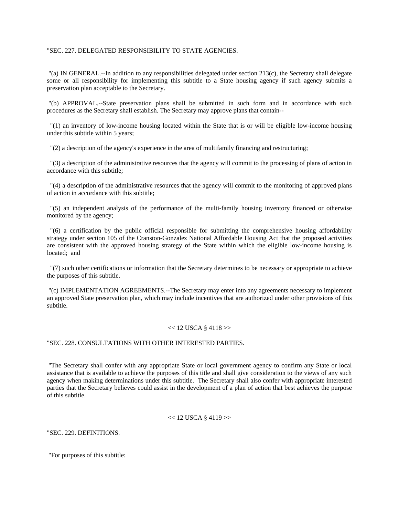## "SEC. 227. DELEGATED RESPONSIBILITY TO STATE AGENCIES.

 "(a) IN GENERAL.--In addition to any responsibilities delegated under section 213(c), the Secretary shall delegate some or all responsibility for implementing this subtitle to a State housing agency if such agency submits a preservation plan acceptable to the Secretary.

 "(b) APPROVAL.--State preservation plans shall be submitted in such form and in accordance with such procedures as the Secretary shall establish. The Secretary may approve plans that contain--

 "(1) an inventory of low-income housing located within the State that is or will be eligible low-income housing under this subtitle within 5 years;

"(2) a description of the agency's experience in the area of multifamily financing and restructuring;

 "(3) a description of the administrative resources that the agency will commit to the processing of plans of action in accordance with this subtitle;

 "(4) a description of the administrative resources that the agency will commit to the monitoring of approved plans of action in accordance with this subtitle;

 "(5) an independent analysis of the performance of the multi-family housing inventory financed or otherwise monitored by the agency;

 "(6) a certification by the public official responsible for submitting the comprehensive housing affordability strategy under section 105 of the Cranston-Gonzalez National Affordable Housing Act that the proposed activities are consistent with the approved housing strategy of the State within which the eligible low-income housing is located; and

 "(7) such other certifications or information that the Secretary determines to be necessary or appropriate to achieve the purposes of this subtitle.

 "(c) IMPLEMENTATION AGREEMENTS.--The Secretary may enter into any agreements necessary to implement an approved State preservation plan, which may include incentives that are authorized under other provisions of this subtitle.

#### $<< 12$  USCA § 4118 $>>$

## "SEC. 228. CONSULTATIONS WITH OTHER INTERESTED PARTIES.

 "The Secretary shall confer with any appropriate State or local government agency to confirm any State or local assistance that is available to achieve the purposes of this title and shall give consideration to the views of any such agency when making determinations under this subtitle. The Secretary shall also confer with appropriate interested parties that the Secretary believes could assist in the development of a plan of action that best achieves the purpose of this subtitle.

### $<< 12$  USCA § 4119 $>>$

"SEC. 229. DEFINITIONS.

"For purposes of this subtitle: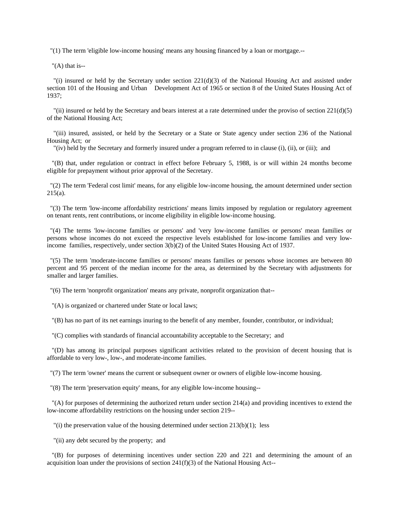"(1) The term 'eligible low-income housing' means any housing financed by a loan or mortgage.--

" $(A)$  that is--

"(i) insured or held by the Secretary under section  $221(d)(3)$  of the National Housing Act and assisted under section 101 of the Housing and Urban Development Act of 1965 or section 8 of the United States Housing Act of 1937;

"(ii) insured or held by the Secretary and bears interest at a rate determined under the proviso of section  $221(d)(5)$ of the National Housing Act;

 "(iii) insured, assisted, or held by the Secretary or a State or State agency under section 236 of the National Housing Act; or

"(iv) held by the Secretary and formerly insured under a program referred to in clause (i), (ii), or (iii); and

 "(B) that, under regulation or contract in effect before February 5, 1988, is or will within 24 months become eligible for prepayment without prior approval of the Secretary.

 "(2) The term 'Federal cost limit' means, for any eligible low-income housing, the amount determined under section 215(a).

 "(3) The term 'low-income affordability restrictions' means limits imposed by regulation or regulatory agreement on tenant rents, rent contributions, or income eligibility in eligible low-income housing.

 "(4) The terms 'low-income families or persons' and 'very low-income families or persons' mean families or persons whose incomes do not exceed the respective levels established for low-income families and very lowincome families, respectively, under section 3(b)(2) of the United States Housing Act of 1937.

 "(5) The term 'moderate-income families or persons' means families or persons whose incomes are between 80 percent and 95 percent of the median income for the area, as determined by the Secretary with adjustments for smaller and larger families.

"(6) The term 'nonprofit organization' means any private, nonprofit organization that--

"(A) is organized or chartered under State or local laws;

"(B) has no part of its net earnings inuring to the benefit of any member, founder, contributor, or individual;

"(C) complies with standards of financial accountability acceptable to the Secretary; and

 "(D) has among its principal purposes significant activities related to the provision of decent housing that is affordable to very low-, low-, and moderate-income families.

"(7) The term 'owner' means the current or subsequent owner or owners of eligible low-income housing.

"(8) The term 'preservation equity' means, for any eligible low-income housing--

 "(A) for purposes of determining the authorized return under section 214(a) and providing incentives to extend the low-income affordability restrictions on the housing under section 219--

"(i) the preservation value of the housing determined under section  $213(b)(1)$ ; less

"(ii) any debt secured by the property; and

 "(B) for purposes of determining incentives under section 220 and 221 and determining the amount of an acquisition loan under the provisions of section  $241(f)(3)$  of the National Housing Act--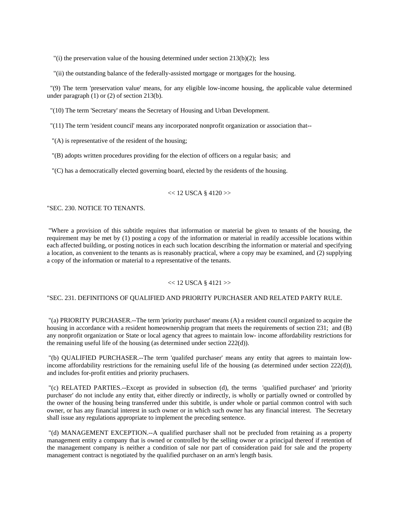"(i) the preservation value of the housing determined under section  $213(b)(2)$ ; less

"(ii) the outstanding balance of the federally-assisted mortgage or mortgages for the housing.

 "(9) The term 'preservation value' means, for any eligible low-income housing, the applicable value determined under paragraph (1) or (2) of section 213(b).

"(10) The term 'Secretary' means the Secretary of Housing and Urban Development.

"(11) The term 'resident council' means any incorporated nonprofit organization or association that--

"(A) is representative of the resident of the housing;

"(B) adopts written procedures providing for the election of officers on a regular basis; and

"(C) has a democratically elected governing board, elected by the residents of the housing.

## $<< 12$  USCA § 4120 $>>$

"SEC. 230. NOTICE TO TENANTS.

 "Where a provision of this subtitle requires that information or material be given to tenants of the housing, the requirement may be met by (1) posting a copy of the information or material in readily accessible locations within each affected building, or posting notices in each such location describing the information or material and specifying a location, as convenient to the tenants as is reasonably practical, where a copy may be examined, and (2) supplying a copy of the information or material to a representative of the tenants.

## $<< 12$  USCA § 4121 $>>$

# "SEC. 231. DEFINITIONS OF QUALIFIED AND PRIORITY PURCHASER AND RELATED PARTY RULE.

 "(a) PRIORITY PURCHASER.--The term 'priority purchaser' means (A) a resident council organized to acquire the housing in accordance with a resident homeownership program that meets the requirements of section 231; and (B) any nonprofit organization or State or local agency that agrees to maintain low- income affordability restrictions for the remaining useful life of the housing (as determined under section 222(d)).

 "(b) QUALIFIED PURCHASER.--The term 'qualifed purchaser' means any entity that agrees to maintain lowincome affordability restrictions for the remaining useful life of the housing (as determined under section 222(d)), and includes for-profit entities and priority pruchasers.

 "(c) RELATED PARTIES.--Except as provided in subsection (d), the terms 'qualified purchaser' and 'priority purchaser' do not include any entity that, either directly or indirectly, is wholly or partially owned or controlled by the owner of the housing being transferred under this subtitle, is under whole or partial common control with such owner, or has any financial interest in such owner or in which such owner has any financial interest. The Secretary shall issue any regulations appropriate to implement the preceding sentence.

 "(d) MANAGEMENT EXCEPTION.--A qualified purchaser shall not be precluded from retaining as a property management entity a company that is owned or controlled by the selling owner or a principal thereof if retention of the management company is neither a condition of sale nor part of consideration paid for sale and the property management contract is negotiated by the qualified purchaser on an arm's length basis.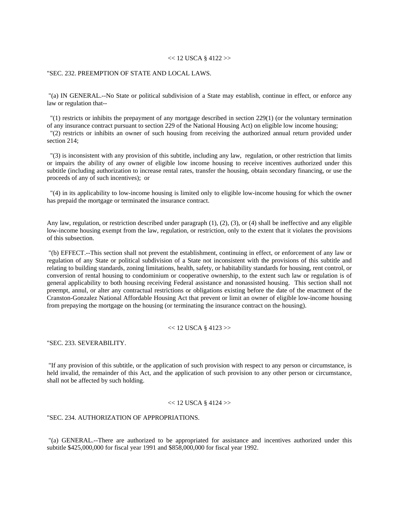### $<< 12$  USCA § 4122 $>>$

## "SEC. 232. PREEMPTION OF STATE AND LOCAL LAWS.

 "(a) IN GENERAL.--No State or political subdivision of a State may establish, continue in effect, or enforce any law or regulation that--

 "(1) restricts or inhibits the prepayment of any mortgage described in section 229(1) (or the voluntary termination of any insurance contract pursuant to section 229 of the National Housing Act) on eligible low income housing;

 "(2) restricts or inhibits an owner of such housing from receiving the authorized annual return provided under section 214;

 "(3) is inconsistent with any provision of this subtitle, including any law, regulation, or other restriction that limits or impairs the ability of any owner of eligible low income housing to receive incentives authorized under this subtitle (including authorization to increase rental rates, transfer the housing, obtain secondary financing, or use the proceeds of any of such incentives); or

 "(4) in its applicability to low-income housing is limited only to eligible low-income housing for which the owner has prepaid the mortgage or terminated the insurance contract.

Any law, regulation, or restriction described under paragraph  $(1)$ ,  $(2)$ ,  $(3)$ , or  $(4)$  shall be ineffective and any eligible low-income housing exempt from the law, regulation, or restriction, only to the extent that it violates the provisions of this subsection.

 "(b) EFFECT.--This section shall not prevent the establishment, continuing in effect, or enforcement of any law or regulation of any State or political subdivision of a State not inconsistent with the provisions of this subtitle and relating to building standards, zoning limitations, health, safety, or habitability standards for housing, rent control, or conversion of rental housing to condominium or cooperative ownership, to the extent such law or regulation is of general applicability to both housing receiving Federal assistance and nonassisted housing. This section shall not preempt, annul, or alter any contractual restrictions or obligations existing before the date of the enactment of the Cranston-Gonzalez National Affordable Housing Act that prevent or limit an owner of eligible low-income housing from prepaying the mortgage on the housing (or terminating the insurance contract on the housing).

### $<< 12$  USCA § 4123 $>>$

"SEC. 233. SEVERABILITY.

 "If any provision of this subtitle, or the application of such provision with respect to any person or circumstance, is held invalid, the remainder of this Act, and the application of such provision to any other person or circumstance, shall not be affected by such holding.

### $<< 12$  USCA § 4124 $>>$

"SEC. 234. AUTHORIZATION OF APPROPRIATIONS.

 "(a) GENERAL.--There are authorized to be appropriated for assistance and incentives authorized under this subtitle \$425,000,000 for fiscal year 1991 and \$858,000,000 for fiscal year 1992.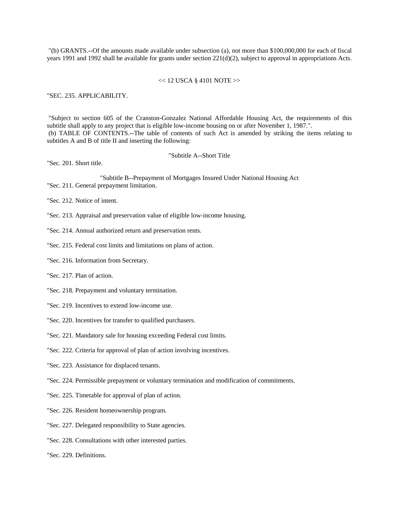"(b) GRANTS.--Of the amounts made available under subsection (a), not more than \$100,000,000 for each of fiscal years 1991 and 1992 shall be available for grants under section 221(d)(2), subject to approval in appropriations Acts.

### $<< 12$  USCA § 4101 NOTE $>>$

"SEC. 235. APPLICABILITY.

 "Subject to section 605 of the Cranston-Gonzalez National Affordable Housing Act, the requirements of this subtitle shall apply to any project that is eligible low-income housing on or after November 1, 1987.". (b) TABLE OF CONTENTS.--The table of contents of such Act is amended by striking the items relating to subtitles A and B of title II and inserting the following:

"Subtitle A--Short Title

"Sec. 201. Short title.

"Subtitle B--Prepayment of Mortgages Insured Under National Housing Act "Sec. 211. General prepayment limitation.

"Sec. 212. Notice of intent.

"Sec. 213. Appraisal and preservation value of eligible low-income housing.

- "Sec. 214. Annual authorized return and preservation rents.
- "Sec. 215. Federal cost limits and limitations on plans of action.
- "Sec. 216. Information from Secretary.
- "Sec. 217. Plan of action.
- "Sec. 218. Prepayment and voluntary termination.
- "Sec. 219. Incentives to extend low-income use.
- "Sec. 220. Incentives for transfer to qualified purchasers.
- "Sec. 221. Mandatory sale for housing exceeding Federal cost limits.
- "Sec. 222. Criteria for approval of plan of action involving incentives.
- "Sec. 223. Assistance for displaced tenants.
- "Sec. 224. Permissible prepayment or voluntary termination and modification of commitments.
- "Sec. 225. Timetable for approval of plan of action.
- "Sec. 226. Resident homeownership program.
- "Sec. 227. Delegated responsibility to State agencies.
- "Sec. 228. Consultations with other interested parties.
- "Sec. 229. Definitions.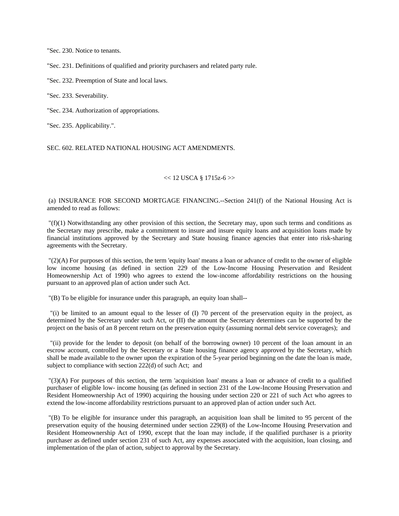"Sec. 230. Notice to tenants.

"Sec. 231. Definitions of qualified and priority purchasers and related party rule.

"Sec. 232. Preemption of State and local laws.

"Sec. 233. Severability.

"Sec. 234. Authorization of appropriations.

"Sec. 235. Applicability.".

SEC. 602. RELATED NATIONAL HOUSING ACT AMENDMENTS.

### $<< 12$  USCA § 1715z-6 $>>$

 (a) INSURANCE FOR SECOND MORTGAGE FINANCING.--Section 241(f) of the National Housing Act is amended to read as follows:

 "(f)(1) Notwithstanding any other provision of this section, the Secretary may, upon such terms and conditions as the Secretary may prescribe, make a commitment to insure and insure equity loans and acquisition loans made by financial institutions approved by the Secretary and State housing finance agencies that enter into risk-sharing agreements with the Secretary.

 "(2)(A) For purposes of this section, the term 'equity loan' means a loan or advance of credit to the owner of eligible low income housing (as defined in section 229 of the Low-Income Housing Preservation and Resident Homeownership Act of 1990) who agrees to extend the low-income affordability restrictions on the housing pursuant to an approved plan of action under such Act.

"(B) To be eligible for insurance under this paragraph, an equity loan shall--

 "(i) be limited to an amount equal to the lesser of (I) 70 percent of the preservation equity in the project, as determined by the Secretary under such Act, or (II) the amount the Secretary determines can be supported by the project on the basis of an 8 percent return on the preservation equity (assuming normal debt service coverages); and

 "(ii) provide for the lender to deposit (on behalf of the borrowing owner) 10 percent of the loan amount in an escrow account, controlled by the Secretary or a State housing finance agency approved by the Secretary, which shall be made available to the owner upon the expiration of the 5-year period beginning on the date the loan is made, subject to compliance with section  $222(d)$  of such Act; and

 "(3)(A) For purposes of this section, the term 'acquisition loan' means a loan or advance of credit to a qualified purchaser of eligible low- income housing (as defined in section 231 of the Low-Income Housing Preservation and Resident Homeownership Act of 1990) acquiring the housing under section 220 or 221 of such Act who agrees to extend the low-income affordability restrictions pursuant to an approved plan of action under such Act.

 "(B) To be eligible for insurance under this paragraph, an acquisition loan shall be limited to 95 percent of the preservation equity of the housing determined under section 229(8) of the Low-Income Housing Preservation and Resident Homeownership Act of 1990, except that the loan may include, if the qualified purchaser is a priority purchaser as defined under section 231 of such Act, any expenses associated with the acquisition, loan closing, and implementation of the plan of action, subject to approval by the Secretary.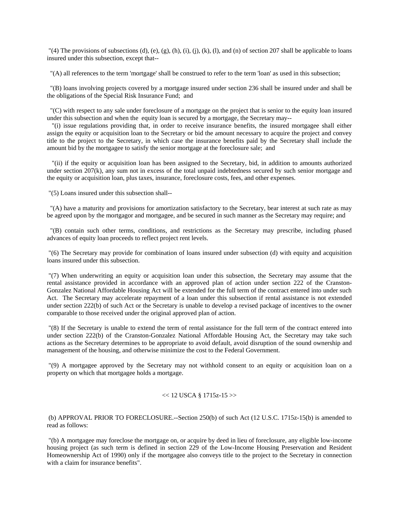"(4) The provisions of subsections (d), (e), (g), (h), (i), (j), (k), (l), and (n) of section 207 shall be applicable to loans insured under this subsection, except that--

"(A) all references to the term 'mortgage' shall be construed to refer to the term 'loan' as used in this subsection;

 "(B) loans involving projects covered by a mortgage insured under section 236 shall be insured under and shall be the obligations of the Special Risk Insurance Fund; and

 "(C) with respect to any sale under foreclosure of a mortgage on the project that is senior to the equity loan insured under this subsection and when the equity loan is secured by a mortgage, the Secretary may--

 "(i) issue regulations providing that, in order to receive insurance benefits, the insured mortgagee shall either assign the equity or acquisition loan to the Secretary or bid the amount necessary to acquire the project and convey title to the project to the Secretary, in which case the insurance benefits paid by the Secretary shall include the amount bid by the mortgagee to satisfy the senior mortgage at the foreclosure sale; and

 "(ii) if the equity or acquisition loan has been assigned to the Secretary, bid, in addition to amounts authorized under section 207(k), any sum not in excess of the total unpaid indebtedness secured by such senior mortgage and the equity or acquisition loan, plus taxes, insurance, foreclosure costs, fees, and other expenses.

"(5) Loans insured under this subsection shall--

 "(A) have a maturity and provisions for amortization satisfactory to the Secretary, bear interest at such rate as may be agreed upon by the mortgagor and mortgagee, and be secured in such manner as the Secretary may require; and

 "(B) contain such other terms, conditions, and restrictions as the Secretary may prescribe, including phased advances of equity loan proceeds to reflect project rent levels.

 "(6) The Secretary may provide for combination of loans insured under subsection (d) with equity and acquisition loans insured under this subsection.

 "(7) When underwriting an equity or acquisition loan under this subsection, the Secretary may assume that the rental assistance provided in accordance with an approved plan of action under section 222 of the Cranston-Gonzalez National Affordable Housing Act will be extended for the full term of the contract entered into under such Act. The Secretary may accelerate repayment of a loan under this subsection if rental assistance is not extended under section 222(b) of such Act or the Secretary is unable to develop a revised package of incentives to the owner comparable to those received under the original approved plan of action.

 "(8) If the Secretary is unable to extend the term of rental assistance for the full term of the contract entered into under section 222(b) of the Cranston-Gonzalez National Affordable Housing Act, the Secretary may take such actions as the Secretary determines to be appropriate to avoid default, avoid disruption of the sound ownership and management of the housing, and otherwise minimize the cost to the Federal Government.

 "(9) A mortgagee approved by the Secretary may not withhold consent to an equity or acquisition loan on a property on which that mortgagee holds a mortgage.

## $<< 12$  USCA § 1715z-15 $>>$

 (b) APPROVAL PRIOR TO FORECLOSURE.--Section 250(b) of such Act (12 U.S.C. 1715z-15(b) is amended to read as follows:

 "(b) A mortgagee may foreclose the mortgage on, or acquire by deed in lieu of foreclosure, any eligible low-income housing project (as such term is defined in section 229 of the Low-Income Housing Preservation and Resident Homeownership Act of 1990) only if the mortgagee also conveys title to the project to the Secretary in connection with a claim for insurance benefits".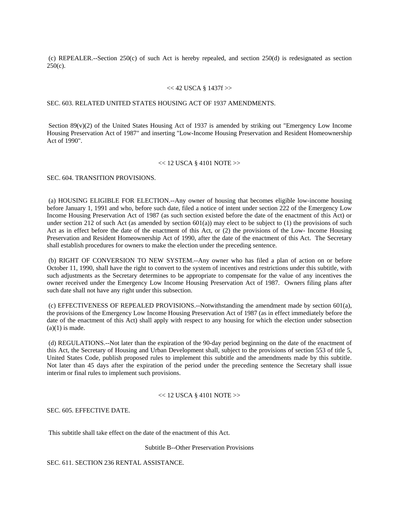(c) REPEALER.--Section 250(c) of such Act is hereby repealed, and section 250(d) is redesignated as section  $250(c)$ .

### << 42 USCA § 1437f >>

## SEC. 603. RELATED UNITED STATES HOUSING ACT OF 1937 AMENDMENTS.

Section  $89(y)(2)$  of the United States Housing Act of 1937 is amended by striking out "Emergency Low Income Housing Preservation Act of 1987" and inserting "Low-Income Housing Preservation and Resident Homeownership Act of 1990".

### $<< 12$  USCA § 4101 NOTE >>

SEC. 604. TRANSITION PROVISIONS.

 (a) HOUSING ELIGIBLE FOR ELECTION.--Any owner of housing that becomes eligible low-income housing before January 1, 1991 and who, before such date, filed a notice of intent under section 222 of the Emergency Low Income Housing Preservation Act of 1987 (as such section existed before the date of the enactment of this Act) or under section 212 of such Act (as amended by section  $601(a)$ ) may elect to be subject to (1) the provisions of such Act as in effect before the date of the enactment of this Act, or (2) the provisions of the Low- Income Housing Preservation and Resident Homeownership Act of 1990, after the date of the enactment of this Act. The Secretary shall establish procedures for owners to make the election under the preceding sentence.

 (b) RIGHT OF CONVERSION TO NEW SYSTEM.--Any owner who has filed a plan of action on or before October 11, 1990, shall have the right to convert to the system of incentives and restrictions under this subtitle, with such adjustments as the Secretary determines to be appropriate to compensate for the value of any incentives the owner received under the Emergency Low Income Housing Preservation Act of 1987. Owners filing plans after such date shall not have any right under this subsection.

 (c) EFFECTIVENESS OF REPEALED PROVISIONS.--Notwithstanding the amendment made by section 601(a), the provisions of the Emergency Low Income Housing Preservation Act of 1987 (as in effect immediately before the date of the enactment of this Act) shall apply with respect to any housing for which the election under subsection  $(a)(1)$  is made.

 (d) REGULATIONS.--Not later than the expiration of the 90-day period beginning on the date of the enactment of this Act, the Secretary of Housing and Urban Development shall, subject to the provisions of section 553 of title 5, United States Code, publish proposed rules to implement this subtitle and the amendments made by this subtitle. Not later than 45 days after the expiration of the period under the preceding sentence the Secretary shall issue interim or final rules to implement such provisions.

#### $<< 12$  USCA § 4101 NOTE $>>$

SEC. 605. EFFECTIVE DATE.

This subtitle shall take effect on the date of the enactment of this Act.

Subtitle B--Other Preservation Provisions

SEC. 611. SECTION 236 RENTAL ASSISTANCE.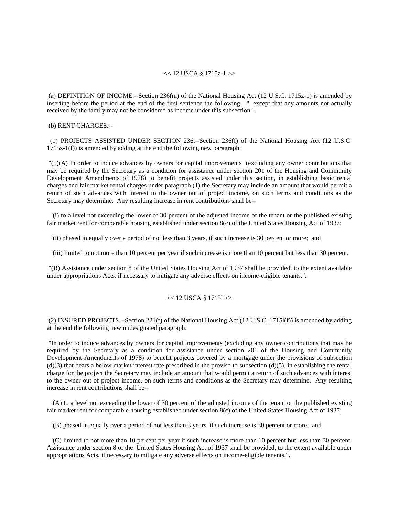#### << 12 USCA § 1715z-1 >>

 (a) DEFINITION OF INCOME.--Section 236(m) of the National Housing Act (12 U.S.C. 1715z-1) is amended by inserting before the period at the end of the first sentence the following: ", except that any amounts not actually received by the family may not be considered as income under this subsection".

(b) RENT CHARGES.--

 (1) PROJECTS ASSISTED UNDER SECTION 236.--Section 236(f) of the National Housing Act (12 U.S.C. 1715z-1(f)) is amended by adding at the end the following new paragraph:

 "(5)(A) In order to induce advances by owners for capital improvements (excluding any owner contributions that may be required by the Secretary as a condition for assistance under section 201 of the Housing and Community Development Amendments of 1978) to benefit projects assisted under this section, in establishing basic rental charges and fair market rental charges under paragraph (1) the Secretary may include an amount that would permit a return of such advances with interest to the owner out of project income, on such terms and conditions as the Secretary may determine. Any resulting increase in rent contributions shall be--

 "(i) to a level not exceeding the lower of 30 percent of the adjusted income of the tenant or the published existing fair market rent for comparable housing established under section 8(c) of the United States Housing Act of 1937;

"(ii) phased in equally over a period of not less than 3 years, if such increase is 30 percent or more; and

"(iii) limited to not more than 10 percent per year if such increase is more than 10 percent but less than 30 percent.

 "(B) Assistance under section 8 of the United States Housing Act of 1937 shall be provided, to the extent available under appropriations Acts, if necessary to mitigate any adverse effects on income-eligible tenants.".

## $<< 12$  USCA §  $17151>>$

 (2) INSURED PROJECTS.--Section 221(f) of the National Housing Act (12 U.S.C. 1715l(f)) is amended by adding at the end the following new undesignated paragraph:

 "In order to induce advances by owners for capital improvements (excluding any owner contributions that may be required by the Secretary as a condition for assistance under section 201 of the Housing and Community Development Amendments of 1978) to benefit projects covered by a mortgage under the provisions of subsection  $(d)(3)$  that bears a below market interest rate prescribed in the proviso to subsection  $(d)(5)$ , in establishing the rental charge for the project the Secretary may include an amount that would permit a return of such advances with interest to the owner out of project income, on such terms and conditions as the Secretary may determine. Any resulting increase in rent contributions shall be--

 "(A) to a level not exceeding the lower of 30 percent of the adjusted income of the tenant or the published existing fair market rent for comparable housing established under section 8(c) of the United States Housing Act of 1937;

"(B) phased in equally over a period of not less than 3 years, if such increase is 30 percent or more; and

 "(C) limited to not more than 10 percent per year if such increase is more than 10 percent but less than 30 percent. Assistance under section 8 of the United States Housing Act of 1937 shall be provided, to the extent available under appropriations Acts, if necessary to mitigate any adverse effects on income-eligible tenants.".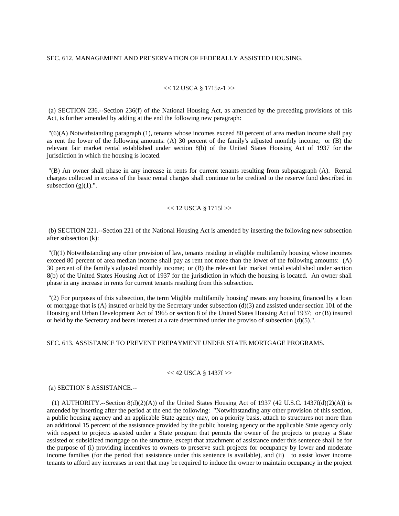### SEC. 612. MANAGEMENT AND PRESERVATION OF FEDERALLY ASSISTED HOUSING.

### $<< 12$  USCA § 1715z-1 >>

 (a) SECTION 236.--Section 236(f) of the National Housing Act, as amended by the preceding provisions of this Act, is further amended by adding at the end the following new paragraph:

 "(6)(A) Notwithstanding paragraph (1), tenants whose incomes exceed 80 percent of area median income shall pay as rent the lower of the following amounts: (A) 30 percent of the family's adjusted monthly income; or (B) the relevant fair market rental established under section 8(b) of the United States Housing Act of 1937 for the jurisdiction in which the housing is located.

 "(B) An owner shall phase in any increase in rents for current tenants resulting from subparagraph (A). Rental charges collected in excess of the basic rental charges shall continue to be credited to the reserve fund described in subsection  $(g)(1)$ .".

#### $<< 12$  USCA § 1715l $>>$

 (b) SECTION 221.--Section 221 of the National Housing Act is amended by inserting the following new subsection after subsection (k):

 "(l)(1) Notwithstanding any other provision of law, tenants residing in eligible multifamily housing whose incomes exceed 80 percent of area median income shall pay as rent not more than the lower of the following amounts: (A) 30 percent of the family's adjusted monthly income; or (B) the relevant fair market rental established under section 8(b) of the United States Housing Act of 1937 for the jurisdiction in which the housing is located. An owner shall phase in any increase in rents for current tenants resulting from this subsection.

 "(2) For purposes of this subsection, the term 'eligible multifamily housing' means any housing financed by a loan or mortgage that is (A) insured or held by the Secretary under subsection (d)(3) and assisted under section 101 of the Housing and Urban Development Act of 1965 or section 8 of the United States Housing Act of 1937; or (B) insured or held by the Secretary and bears interest at a rate determined under the proviso of subsection (d)(5).".

# SEC. 613. ASSISTANCE TO PREVENT PREPAYMENT UNDER STATE MORTGAGE PROGRAMS.

### << 42 USCA § 1437f >>

(a) SECTION 8 ASSISTANCE.--

(1) AUTHORITY.--Section  $8(d)(2)(A)$  of the United States Housing Act of 1937 (42 U.S.C. 1437f(d)(2)(A)) is amended by inserting after the period at the end the following: "Notwithstanding any other provision of this section, a public housing agency and an applicable State agency may, on a priority basis, attach to structures not more than an additional 15 percent of the assistance provided by the public housing agency or the applicable State agency only with respect to projects assisted under a State program that permits the owner of the projects to prepay a State assisted or subsidized mortgage on the structure, except that attachment of assistance under this sentence shall be for the purpose of (i) providing incentives to owners to preserve such projects for occupancy by lower and moderate income families (for the period that assistance under this sentence is available), and (ii) to assist lower income tenants to afford any increases in rent that may be required to induce the owner to maintain occupancy in the project